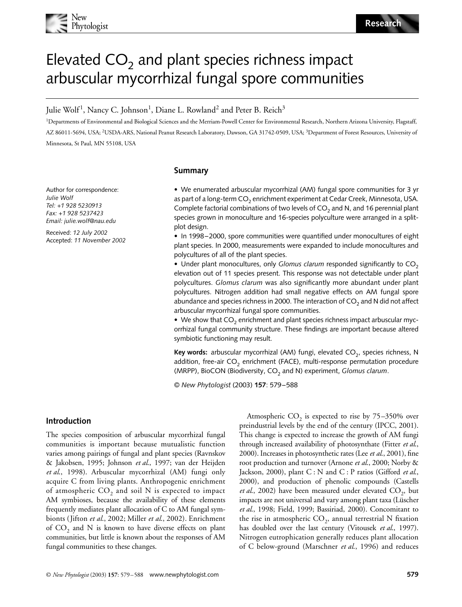

# Elevated  $CO<sub>2</sub>$  and plant species richness impact arbuscular mycorrhizal fungal spore communities

Julie Wolf<sup>1</sup>, Nancy C. Johnson<sup>1</sup>, Diane L. Rowland<sup>2</sup> and Peter B. Reich<sup>3</sup>

<sup>1</sup>Departments of Environmental and Biological Sciences and the Merriam-Powell Center for Environmental Research, Northern Arizona University, Flagstaff, AZ 86011-5694, USA; <sup>2</sup>USDA-ARS, National Peanut Research Laboratory, Dawson, GA 31742-0509, USA; <sup>3</sup>Department of Forest Resources, University of Minnesota, St Paul, MN 55108, USA

# **Summary**

Author for correspondence: *Julie Wolf Tel: +1 928 5230913 Fax: +1 928 5237423 Email: julie.wolf@nau.edu*

Received: *12 July 2002* Accepted: *11 November 2002*

# • We enumerated arbuscular mycorrhizal (AM) fungal spore communities for 3 yr as part of a long-term  $CO<sub>2</sub>$  enrichment experiment at Cedar Creek, Minnesota, USA. Complete factorial combinations of two levels of  $CO<sub>2</sub>$  and N, and 16 perennial plant species grown in monoculture and 16-species polyculture were arranged in a splitplot design.

• In 1998–2000, spore communities were quantified under monocultures of eight plant species. In 2000, measurements were expanded to include monocultures and polycultures of all of the plant species.

• Under plant monocultures, only *Glomus clarum* responded significantly to CO<sub>2</sub> elevation out of 11 species present. This response was not detectable under plant polycultures. *Glomus clarum* was also significantly more abundant under plant polycultures. Nitrogen addition had small negative effects on AM fungal spore abundance and species richness in 2000. The interaction of  $CO<sub>2</sub>$  and N did not affect arbuscular mycorrhizal fungal spore communities.

• We show that  $CO<sub>2</sub>$  enrichment and plant species richness impact arbuscular mycorrhizal fungal community structure. These findings are important because altered symbiotic functioning may result.

Key words: arbuscular mycorrhizal (AM) fungi, elevated CO<sub>2</sub>, species richness, N addition, free-air  $CO<sub>2</sub>$  enrichment (FACE), multi-response permutation procedure (MRPP), BioCON (Biodiversity, CO<sub>2</sub> and N) experiment, *Glomus clarum*.

© *New Phytologist* (2003) **157**: 579–588

# **Introduction**

The species composition of arbuscular mycorrhizal fungal communities is important because mutualistic function varies among pairings of fungal and plant species (Ravnskov & Jakobsen, 1995; Johnson *et al*., 1997; van der Heijden *et al*., 1998). Arbuscular mycorrhizal (AM) fungi only acquire C from living plants. Anthropogenic enrichment of atmospheric  $CO<sub>2</sub>$  and soil N is expected to impact AM symbioses, because the availability of these elements frequently mediates plant allocation of C to AM fungal symbionts (Jifton *et al*., 2002; Miller *et al*., 2002). Enrichment of  $CO<sub>2</sub>$  and N is known to have diverse effects on plant communities, but little is known about the responses of AM fungal communities to these changes.

Atmospheric  $CO<sub>2</sub>$  is expected to rise by  $75-350\%$  over preindustrial levels by the end of the century (IPCC, 2001). This change is expected to increase the growth of AM fungi through increased availability of photosynthate (Fitter *et al*., 2000). Increases in photosynthetic rates (Lee *et al*., 2001), fine root production and turnover (Arnone *et al*., 2000; Norby & Jackson, 2000), plant C : N and C : P ratios (Gifford *et al*., 2000), and production of phenolic compounds (Castells *et al.*, 2002) have been measured under elevated CO<sub>2</sub>, but impacts are not universal and vary among plant taxa (Lüscher *et al*., 1998; Field, 1999; Bassiriad, 2000). Concomitant to the rise in atmospheric  $CO<sub>2</sub>$ , annual terrestrial N fixation has doubled over the last century (Vitousek *et al*., 1997). Nitrogen eutrophication generally reduces plant allocation of C below-ground (Marschner *et al*., 1996) and reduces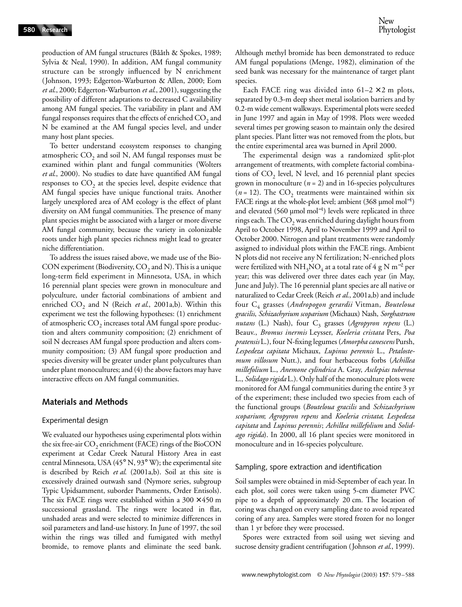production of AM fungal structures (Bååth & Spokes, 1989; Sylvia & Neal, 1990). In addition, AM fungal community structure can be strongly influenced by N enrichment (Johnson, 1993; Edgerton-Warburton & Allen, 2000; Eom *et al*., 2000; Edgerton-Warburton *et al*., 2001), suggesting the possibility of different adaptations to decreased C availability among AM fungal species. The variability in plant and AM fungal responses requires that the effects of enriched  $CO<sub>2</sub>$  and N be examined at the AM fungal species level, and under many host plant species.

To better understand ecosystem responses to changing atmospheric  $CO<sub>2</sub>$  and soil N, AM fungal responses must be examined within plant and fungal communities (Wolters *et al*., 2000). No studies to date have quantified AM fungal responses to  $CO<sub>2</sub>$  at the species level, despite evidence that AM fungal species have unique functional traits. Another largely unexplored area of AM ecology is the effect of plant diversity on AM fungal communities. The presence of many plant species might be associated with a larger or more diverse AM fungal community, because the variety in colonizable roots under high plant species richness might lead to greater niche differentiation.

To address the issues raised above, we made use of the Bio-CON experiment (Biodiversity,  $CO<sub>2</sub>$  and N). This is a unique long-term field experiment in Minnesota, USA, in which 16 perennial plant species were grown in monoculture and polyculture, under factorial combinations of ambient and enriched  $CO_2$  and N (Reich *et al.*, 2001a,b). Within this experiment we test the following hypotheses: (1) enrichment of atmospheric  $CO<sub>2</sub>$  increases total AM fungal spore production and alters community composition; (2) enrichment of soil N decreases AM fungal spore production and alters community composition; (3) AM fungal spore production and species diversity will be greater under plant polycultures than under plant monocultures; and (4) the above factors may have interactive effects on AM fungal communities.

## **Materials and Methods**

#### Experimental design

We evaluated our hypotheses using experimental plots within the six free-air  $CO<sub>2</sub>$  enrichment (FACE) rings of the BioCON experiment at Cedar Creek Natural History Area in east central Minnesota, USA (45° N, 93° W); the experimental site is described by Reich *et al*. (2001a,b). Soil at this site is excessively drained outwash sand (Nymore series, subgroup Typic Upidsamment, suborder Psamments, Order Entisols). The six FACE rings were established within a  $300 \times 450$  m successional grassland. The rings were located in flat, unshaded areas and were selected to minimize differences in soil parameters and land-use history. In June of 1997, the soil within the rings was tilled and fumigated with methyl bromide, to remove plants and eliminate the seed bank. Although methyl bromide has been demonstrated to reduce AM fungal populations (Menge, 1982), elimination of the seed bank was necessary for the maintenance of target plant species.

Each FACE ring was divided into  $61-2 \times 2$  m plots, separated by 0.3-m deep sheet metal isolation barriers and by 0.2-m wide cement walkways. Experimental plots were seeded in June 1997 and again in May of 1998. Plots were weeded several times per growing season to maintain only the desired plant species. Plant litter was not removed from the plots, but the entire experimental area was burned in April 2000.

The experimental design was a randomized split-plot arrangement of treatments, with complete factorial combinations of  $CO<sub>2</sub>$  level, N level, and 16 perennial plant species grown in monoculture  $(n = 2)$  and in 16-species polycultures  $(n = 12)$ . The CO<sub>2</sub> treatments were maintained within six FACE rings at the whole-plot level; ambient  $(368 \text{ µmol mol}^{-1})$ and elevated (560 µmol mol<sup>-1</sup>) levels were replicated in three rings each. The  $CO<sub>2</sub>$  was enriched during daylight hours from April to October 1998, April to November 1999 and April to October 2000. Nitrogen and plant treatments were randomly assigned to individual plots within the FACE rings. Ambient N plots did not receive any N fertilization; N-enriched plots were fertilized with  $\mathrm{NH}_3\mathrm{NO}_4$  at a total rate of 4 g  $\mathrm{N}$  m $^{-2}$  per year; this was delivered over three dates each year (in May, June and July). The 16 perennial plant species are all native or naturalized to Cedar Creek (Reich *et al*., 2001a,b) and include four C4 grasses (*Andropogon gerardii* Vitman, *Bouteloua gracilis*, *Schizachyrium scoparium* (Michaux) Nash, *Sorghastrum nutans* (L.) Nash), four C<sub>3</sub> grasses (*Agropyron repens* (L.) Beauv., *Bromus inermis* Leysser, *Koeleria cristata* Pers, *Poa pratensis* L.), four N-fixing legumes (*Amorpha canescens* Pursh, *Lespedeza capitata* Michaux, *Lupinus perennis* L., *Petalostemum villosum* Nutt.), and four herbaceous forbs (*Achillea millefolium* L., *Anemone cylindrica* A. Gray, *Asclepias tuberosa* L., *Solidago rigida* L.). Only half of the monoculture plots were monitored for AM fungal communities during the entire 3 yr of the experiment; these included two species from each of the functional groups (*Bouteloua gracilis* and *Schizachyrium scoparium*; *Agropyron repens* and *Koeleria cristata*; *Lespedeza capitata* and *Lupinus perennis*; *Achillea millefolium* and *Solidago rigida*). In 2000, all 16 plant species were monitored in monoculture and in 16-species polyculture.

#### Sampling, spore extraction and identification

Soil samples were obtained in mid-September of each year. In each plot, soil cores were taken using 5-cm diameter PVC pipe to a depth of approximately 20 cm. The location of coring was changed on every sampling date to avoid repeated coring of any area. Samples were stored frozen for no longer than 1 yr before they were processed.

Spores were extracted from soil using wet sieving and sucrose density gradient centrifugation (Johnson *et al*., 1999).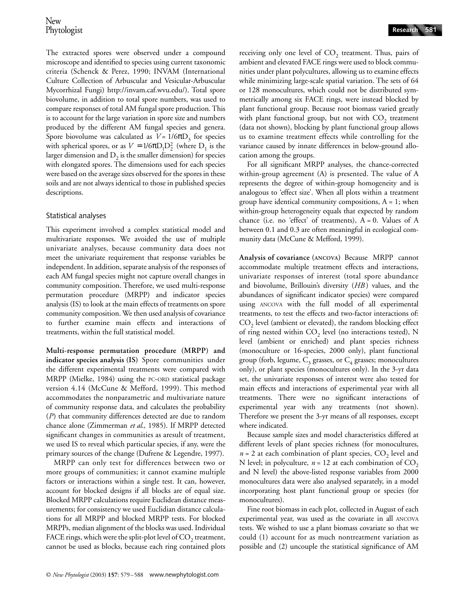The extracted spores were observed under a compound microscope and identified to species using current taxonomic criteria (Schenck & Perez, 1990; INVAM (International Culture Collection [of Arbuscular and Vesicular](http://invam.caf.wvu.edu/)-Arbuscular Mycorrhizal Fungi) http://invam.caf.wvu.edu/). Total spore biovolume, in addition to total spore numbers, was used to compare responses of total AM fungal spore production. This is to account for the large variation in spore size and numbers produced by the different AM fungal species and genera. Spore biovolume was calculated as  $V = 1/6\pi D_3$  for species with spherical spores, or as  $V = 1/6\pi D_1 D_2^2$  (where  $D_1$  is the larger dimension and  $D<sub>2</sub>$  is the smaller dimension) for species with elongated spores. The dimensions used for each species were based on the average sizes observed for the spores in these soils and are not always identical to those in published species descriptions.

#### Statistical analyses

This experiment involved a complex statistical model and multivariate responses. We avoided the use of multiple univariate analyses, because community data does not meet the univariate requirement that response variables be independent. In addition, separate analysis of the responses of each AM fungal species might not capture overall changes in community composition. Therefore, we used multi-response permutation procedure (MRPP) and indicator species analysis (IS) to look at the main effects of treatments on spore community composition. We then used analysis of covariance to further examine main effects and interactions of treatments, within the full statistical model.

**Multi-response permutation procedure (MRPP) and indicator species analysis (IS)** Spore communities under the different experimental treatments were compared with MRPP (Mielke, 1984) using the PC-ORD statistical package version 4.14 (McCune & Mefford, 1999). This method accommodates the nonparametric and multivariate nature of community response data, and calculates the probability (*P*) that community differences detected are due to random chance alone (Zimmerman *et al*., 1985). If MRPP detected significant changes in communities as aresult of treatment, we used IS to reveal which particular species, if any, were the primary sources of the change (Dufrene & Legendre, 1997).

MRPP can only test for differences between two or more groups of communities; it cannot examine multiple factors or interactions within a single test. It can, however, account for blocked designs if all blocks are of equal size. Blocked MRPP calculations require Euclidean distance measurements; for consistency we used Euclidian distance calculations for all MRPP and blocked MRPP tests. For blocked MRPPs, median alignment of the blocks was used. Individual FACE rings, which were the split-plot level of  $CO<sub>2</sub>$  treatment, cannot be used as blocks, because each ring contained plots receiving only one level of  $CO<sub>2</sub>$  treatment. Thus, pairs of ambient and elevated FACE rings were used to block communities under plant polycultures, allowing us to examine effects while minimizing large-scale spatial variation. The sets of 64 or 128 monocultures, which could not be distributed symmetrically among six FACE rings, were instead blocked by plant functional group. Because root biomass varied greatly with plant functional group, but not with  $CO<sub>2</sub>$  treatment (data not shown), blocking by plant functional group allows us to examine treatment effects while controlling for the variance caused by innate differences in below-ground allocation among the groups.

For all significant MRPP analyses, the chance-corrected within-group agreement (A) is presented. The value of A represents the degree of within-group homogeneity and is analogous to 'effect size'. When all plots within a treatment group have identical community compositions,  $A = 1$ ; when within-group heterogeneity equals that expected by random chance (i.e. no 'effect' of treatments),  $A = 0$ . Values of A between 0.1 and 0.3 are often meaningful in ecological community data (McCune & Mefford, 1999).

**Analysis of covariance (ANCOVA)** Because MRPP cannot accommodate multiple treatment effects and interactions, univariate responses of interest (total spore abundance and biovolume, Brillouin's diversity (HB) values, and the abundances of significant indicator species) were compared using ANCOVA with the full model of all experimental treatments, to test the effects and two-factor interactions of:  $CO<sub>2</sub>$  level (ambient or elevated), the random blocking effect of ring nested within  $CO_2$  level (no interactions tested), N level (ambient or enriched) and plant species richness (monoculture or 16-species, 2000 only), plant functional group (forb, legume,  $C_3$  grasses, or  $C_4$  grasses; monocultures only), or plant species (monocultures only). In the 3-yr data set, the univariate responses of interest were also tested for main effects and interactions of experimental year with all treatments. There were no significant interactions of experimental year with any treatments (not shown). Therefore we present the 3-yr means of all responses, except where indicated.

Because sample sizes and model characteristics differed at different levels of plant species richness (for monocultures,  $n = 2$  at each combination of plant species,  $CO<sub>2</sub>$  level and N level; in polyculture,  $n = 12$  at each combination of  $CO<sub>2</sub>$ and N level) the above-listed response variables from 2000 monocultures data were also analysed separately, in a model incorporating host plant functional group or species (for monocultures).

Fine root biomass in each plot, collected in August of each experimental year, was used as the covariate in all ANCOVA tests. We wished to use a plant biomass covariate so that we could (1) account for as much nontreatment variation as possible and (2) uncouple the statistical significance of AM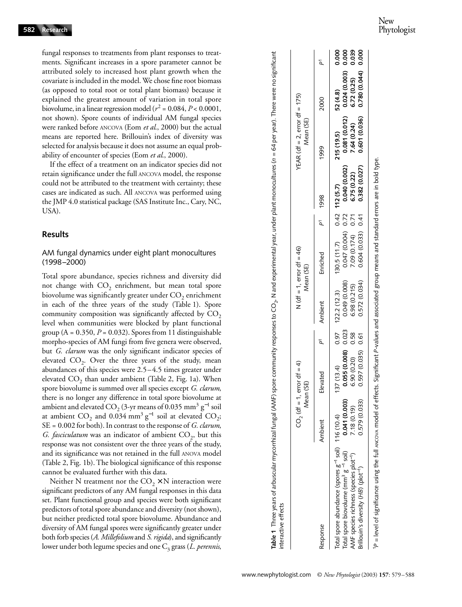fungal responses to treatments from plant responses to treatments. Significant increases in a spore parameter cannot be attributed solely to increased host plant growth when the covariate is included in the model. We chose fine root biomass (as opposed to total root or total plant biomass) because it explained the greatest amount of variation in total spore biovolume, in a linear regression model ( $r^2$  = 0.084,  $P < 0.0001$ , not shown). Spore counts of individual AM fungal species were ranked before ANCOVA (Eom *et al*., 2000) but the actual means are reported here. Brillouin's index of diversity was selected for analysis because it does not assume an equal probability of encounter of species (Eom *et al*., 2000).

If the effect of a treatment on an indicator species did not retain significance under the full ANCOVA model, the response could not be attributed to the treatment with certainty; these cases are indicated as such. All ANCOVA was performed using the JMP 4.0 statistical package (SAS Institute Inc., Cary, NC, USA).

#### **Results**

# AM fungal dynamics under eight plant monocultures (1998–2000)

Total spore abundance, species richness and diversity did not change with CO<sub>2</sub> enrichment, but mean total spore biovolume was significantly greater under  $CO<sub>2</sub>$  enrichment in each of the three years of the study (Table 1). Spore community composition was significantly affected by  $CO<sub>2</sub>$ level when communities were blocked by plant functional group  $(A = 0.350, P = 0.032)$ . Spores from 11 distinguishable morpho-species of AM fungi from five genera were observed, but *G. clarum* was the only significant indicator species of elevated  $CO<sub>2</sub>$ . Over the three years of the study, mean abundances of this species were 2.5–4.5 times greater under elevated  $CO<sub>2</sub>$  than under ambient (Table 2, Fig. 1a). When spore biovolume is summed over all species except *G. clarum*, there is no longer any difference in total spore biovolume at ambient and elevated CO<sub>2</sub> (3-yr means of 0.035 mm<sup>3</sup> g<sup>-1</sup> soil at ambient  $CO_2$  and 0.034 mm<sup>3</sup> g<sup>-1</sup> soil at elevated  $CO_2$ ; SE = 0.002 for both). In contrast to the response of *G. clarum*, *G. fasciculatum* was an indicator of ambient CO<sub>2</sub>, but this response was not consistent over the three years of the study, and its significance was not retained in the full ANOVA model (Table 2, Fig. 1b). The biological significance of this response cannot be evaluated further with this data.

Neither N treatment nor the  $CO_2 \times N$  interaction were significant predictors of any AM fungal responses in this data set. Plant functional group and species were both significant predictors of total spore abundance and diversity (not shown), but neither predicted total spore biovolume. Abundance and diversity of AM fungal spores were significantly greater under both forb species (*A. Millefolium* and *S. rigida*), and significantly lower under both legume species and one C<sub>3</sub> grass (*L. perennis*,

| Table 1 Three years of arbuscular mycorrhizal fungal (AMF) spore community responses to CO <sub>2</sub> , N and experimental year, under plant monocultures (n = 64 per year). There were no significant<br>interactive effects          |                                               |                                                                            |      |                                                              |                                                                                               |                     |                                              |                                                             |                                                               |                         |
|------------------------------------------------------------------------------------------------------------------------------------------------------------------------------------------------------------------------------------------|-----------------------------------------------|----------------------------------------------------------------------------|------|--------------------------------------------------------------|-----------------------------------------------------------------------------------------------|---------------------|----------------------------------------------|-------------------------------------------------------------|---------------------------------------------------------------|-------------------------|
|                                                                                                                                                                                                                                          |                                               | CO <sub>2</sub> (df = 1, error df = 4)<br>Mean (SE)                        |      | N $df = 1$ , error $df = 46$ )<br>Mean (SE)                  |                                                                                               |                     |                                              | YEAR (df = 2, error df = 175)<br>Mean (SE)                  |                                                               |                         |
| Response                                                                                                                                                                                                                                 | Ambient                                       | Elevated                                                                   |      | Ambient                                                      | Enriched                                                                                      | P <sup>1</sup> 1998 |                                              | 1999                                                        | 2000                                                          |                         |
| Total spore abundance (spores g <sup>-1</sup> soil) 116 (10.4)<br>Total spore biovolume (mm <sup>3</sup> g <sup>-1</sup> soil)<br>AMF species richness (species plot <sup>-1</sup> )<br>Brillouin's diversity (HB) (plot <sup>-1</sup> ) | 0.579 (0.033)<br>0.041 (0.003)<br>7.18 (0.19) | 0.055(0.008) 0.023<br>0.597 (0.035) 0.61<br>6.90 (0.20) 0.58<br>(137(13.4) | 0.97 | 0.049 (0.008)<br>0.572(0.034)<br>6.98 (0.215)<br>122.2(12.3) | $130.5(11.7)$ 0.42 112 (5.7)<br>0.047 (0.004) 0.72<br>7.09 (0.174) 0.71<br>0.604 (0.033) 0.41 |                     | 0.040 (0.002)<br>0.382(0.027)<br>6.75 (0.22) | 0.081 (0.012)<br>0.601 (0.036)<br>7.64 (0.24)<br>215 (19.5) | 0.024(0.003) 0.000<br>0.780 (0.044)<br>6.72(0.25)<br>52 (4.8) | 0.000<br>0.000<br>0.039 |

 $\zeta$ 

É

1*P* = level of significance using the full ANCOVA model of effects. Significant *P*-values and associated group means and standard errors are in bold type.

P = level of significance using the full ANCOVA model of effects. Significant P-values and associated group means and standard errors are in bold type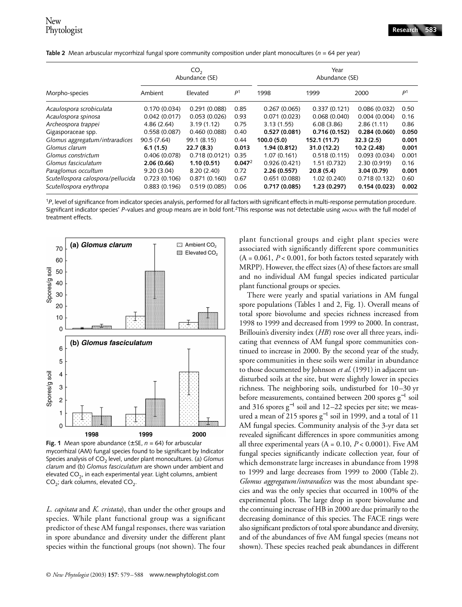|                                   |              | CO <sub>2</sub><br>Abundance (SE) |                    | Year<br>Abundance (SE) |              |              |                |  |
|-----------------------------------|--------------|-----------------------------------|--------------------|------------------------|--------------|--------------|----------------|--|
| Morpho-species                    | Ambient      | Elevated                          | P <sup>1</sup>     | 1998                   | 1999         | 2000         | P <sup>1</sup> |  |
| Acaulospora scrobiculata          | 0.170(0.034) | 0.291(0.088)                      | 0.85               | 0.267(0.065)           | 0.337(0.121) | 0.086(0.032) | 0.50           |  |
| Acaulospora spinosa               | 0.042(0.017) | 0.053(0.026)                      | 0.93               | 0.071(0.023)           | 0.068(0.040) | 0.004(0.004) | 0.16           |  |
| Archeospora trappei               | 4.86(2.64)   | 3.19(1.12)                        | 0.75               | 3.13(1.55)             | 6.08(3.86)   | 2.86(1.11)   | 0.86           |  |
| Gigasporaceae spp.                | 0.558(0.087) | 0.460(0.088)                      | 0.40               | 0.527(0.081)           | 0.716(0.152) | 0.284(0.060) | 0.050          |  |
| Glomus aggregatum/intraradices    | 90.5 (7.64)  | 99.1 (8.15)                       | 0.44               | 100.0(5.0)             | 152.1 (11.7) | 32.3(2.5)    | 0.001          |  |
| Glomus clarum                     | 6.1(1.5)     | 22.7(8.3)                         | 0.013              | 1.94 (0.812)           | 31.0 (12.2)  | 10.2 (2.48)  | 0.001          |  |
| Glomus constrictum                | 0.406(0.078) | 0.718(0.0121)                     | 0.35               | 1.07(0.161)            | 0.518(0.115) | 0.093(0.034) | 0.001          |  |
| Glomus fasciculatum               | 2.06 (0.66)  | 1.10(0.51)                        | 0.047 <sup>2</sup> | 0.926(0.421)           | 1.51(0.732)  | 2.30 (0.919) | 0.16           |  |
| Paraglomus occultum               | 9.20(3.04)   | 8.20(2.40)                        | 0.72               | 2.26(0.557)            | 20.8(5.4)    | 3.04(0.79)   | 0.001          |  |
| Scutellospora calospora/pellucida | 0.723(0.106) | 0.871(0.160)                      | 0.67               | 0.651(0.088)           | 1.02(0.240)  | 0.718(0.132) | 0.60           |  |
| Scutellospora erythropa           | 0.883(0.196) | 0.519(0.085)                      | 0.06               | 0.717(0.085)           | 1.23 (0.297) | 0.154(0.023) | 0.002          |  |

**Table 2** Mean arbuscular mycorrhizal fungal spore community composition under plant monocultures (*n* = 64 per year)

<sup>1</sup>*P*, level of significance from indicator species analysis, performed for all factors with significant effects in multi-response permutation procedure. Significant indicator species' P-values and group means are in bold font.<sup>2</sup>This response was not detectable using ANOVA with the full model of treatment effects.



**Fig. 1** Mean spore abundance ( $\pm$  SE,  $n = 64$ ) for arbuscular mycorrhizal (AM) fungal species found to be significant by Indicator Species analysis of CO<sub>2</sub> level, under plant monocultures. (a) *Glomus clarum* and (b) *Glomus fasciculatum* are shown under ambient and elevated  $CO<sub>2</sub>$ , in each experimental year. Light columns, ambient  $CO<sub>2</sub>$ ; dark columns, elevated  $CO<sub>2</sub>$ .

*L. capitata* and *K. cristata*), than under the other groups and species. While plant functional group was a significant predictor of these AM fungal responses, there was variation in spore abundance and diversity under the different plant species within the functional groups (not shown). The four

plant functional groups and eight plant species were associated with significantly different spore communities  $(A = 0.061, P < 0.001,$  for both factors tested separately with MRPP). However, the effect sizes (A) of these factors are small and no individual AM fungal species indicated particular plant functional groups or species.

There were yearly and spatial variations in AM fungal spore populations (Tables 1 and 2, Fig. 1). Overall means of total spore biovolume and species richness increased from 1998 to 1999 and decreased from 1999 to 2000. In contrast, Brillouin's diversity index (*HB*) rose over all three years, indicating that evenness of AM fungal spore communities continued to increase in 2000. By the second year of the study, spore communities in these soils were similar in abundance to those documented by Johnson *et al*. (1991) in adjacent undisturbed soils at the site, but were slightly lower in species richness. The neighboring soils, undisturbed for 10–30 yr before measurements, contained between 200 spores  $\mathrm{g}^{-1}$  soil and 316 spores g<sup>-1</sup> soil and 12–22 species per site; we measured a mean of 215 spores  $g^{-1}$  soil in 1999, and a total of 11 AM fungal species. Community analysis of the 3-yr data set revealed significant differences in spore communities among all three experimental years  $(A = 0.10, P < 0.0001)$ . Five AM fungal species significantly indicate collection year, four of which demonstrate large increases in abundance from 1998 to 1999 and large decreases from 1999 to 2000 (Table 2). *Glomus aggregatum/intraradices* was the most abundant species and was the only species that occurred in 100% of the experimental plots. The large drop in spore biovolume and the continuing increase of HB in 2000 are due primarily to the decreasing dominance of this species. The FACE rings were also significant predictors of total spore abundance and diversity, and of the abundances of five AM fungal species (means not shown). These species reached peak abundances in different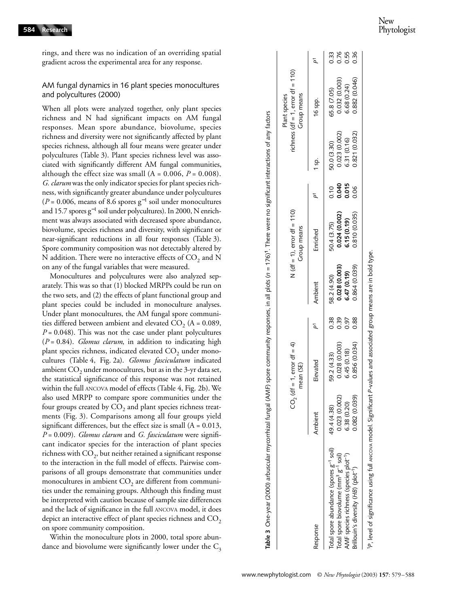New Phytologist

rings, and there was no indication of an overriding spatial gradient across the experimental area for any response.

# AM fungal dynamics in 16 plant species monocultures and polycultures (2000)

When all plots were analyzed together, only plant species richness and N had significant impacts on AM fungal responses. Mean spore abundance, biovolume, species richness and diversity were not significantly affected by plant species richness, although all four means were greater under polycultures (Table 3). Plant species richness level was associated with significantly different AM fungal communities, although the effect size was small  $(A = 0.006, P = 0.008)$ . *G. clarum* was the only indicator species for plant species richness, with significantly greater abundance under polycultures ( $P = 0.006$ , means of 8.6 spores  $g^{-1}$  soil under monocultures and 15.7 spores g<sup>−1</sup> soil under polycultures). In 2000, N enrichment was always associated with decreased spore abundance, biovolume, species richness and diversity, with significant or near-significant reductions in all four responses (Table 3). Spore community composition was not detectably altered by N addition. There were no interactive effects of  $CO<sub>2</sub>$  and N on any of the fungal variables that were measured.

Monocultures and polycultures were also analyzed separately. This was so that (1) blocked MRPPs could be run on the two sets, and (2) the effects of plant functional group and plant species could be included in monoculture analyses. Under plant monocultures, the AM fungal spore communities differed between ambient and elevated  $CO<sub>2</sub>$  (A = 0.089,  $P = 0.048$ ). This was not the case under plant polycultures (*P* = 0.84). *Glomus clarum*, in addition to indicating high plant species richness, indicated elevated  $CO<sub>2</sub>$  under monocultures (Table 4, Fig. 2a). *Glomus fasciculatum* indicated ambient  $CO<sub>2</sub>$  under monocultures, but as in the 3-yr data set, the statistical significance of this response was not retained within the full ANCOVA model of effects (Table 4, Fig. 2b). We also used MRPP to compare spore communities under the four groups created by  $CO<sub>2</sub>$  and plant species richness treatments (Fig. 3). Comparisons among all four groups yield significant differences, but the effect size is small  $(A = 0.013,$ *P* = 0.009). *Glomus clarum* and *G. fasciculatum* were significant indicator species for the interaction of plant species richness with  $CO<sub>2</sub>$ , but neither retained a significant response to the interaction in the full model of effects. Pairwise comparisons of all groups demonstrate that communities under monocultures in ambient  $CO<sub>2</sub>$  are different from communities under the remaining groups. Although this finding must be interpreted with caution because of sample size differences and the lack of significance in the full ANCOVA model, it does depict an interactive effect of plant species richness and  $CO<sub>2</sub>$ on spore community composition.

Within the monoculture plots in 2000, total spore abundance and biovolume were significantly lower under the  $C_3$ 

|                                                              | င္ပ်          | $(df = 1, error df = 4)$<br>mean (SE) |      |               | $N (df = 1)$ , error $df = 110$ )<br>Group means |       |               | richness (df = 1, error df = 110)<br>Group means<br>Plant species |      |
|--------------------------------------------------------------|---------------|---------------------------------------|------|---------------|--------------------------------------------------|-------|---------------|-------------------------------------------------------------------|------|
| Response                                                     | Ambient       | Elevated                              | ā    | Ambient       | Enriched                                         | ā     | 1 sp.         | 16 spp.                                                           |      |
| Total spore abundance (spores g <sup>-1</sup> soil)          | 49.4 (4.38)   | 59.2 (4.33)                           | 0.38 | 58.2 (4.90)   | 504 (3.75)                                       | 0.10  | 50.0 (3.30)   | 65.8 (7.05)                                                       | 0.33 |
| Total spore biovolume (mm <sup>3</sup> g <sup>-1</sup> soil) | 0.023 (0.002) | 0.028(0.003)                          | 0.39 | 0.028 (0.003) | 0.024 (0.002)                                    | 0.040 | 0.023 (0.002) | 0.032 (0.003)                                                     | 0.76 |
| AMF species richness (species plot <sup>-1</sup> )           | 6.38 (0.20)   | 6.45(0.18)                            | 0.97 | 6.47(0.19)    | 6.15(0.19)                                       | 0.015 | 6.31 (0.16)   | 6.68(0.24)                                                        | 0.55 |
| Brillouin's diversity (HB) (plot <sup>-1</sup> )             | 0.082 (0.039) | 0.856 (0.034)                         | 0.88 | 0.864(0.039)  | 0.810 (0.035)                                    | 0.06  | 0.821 (0.032) | 0.882 (0.046)                                                     | 0.36 |

type. 1*P*, level of significance using full ANCOVA model. Significant *P*-values and associated group means are in bold type.level of significance using full ANCOVA model. Significant P-values and associated group means are in bold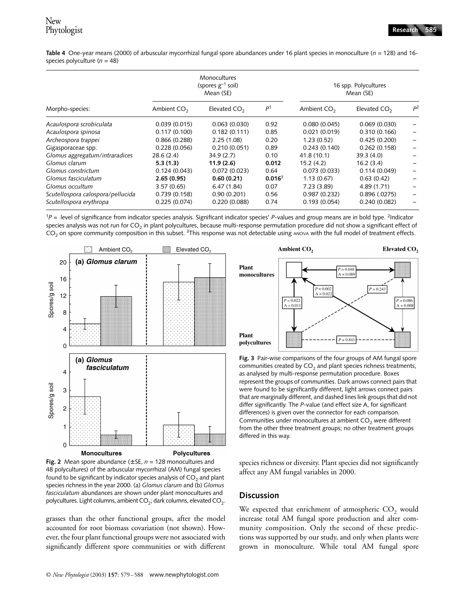Table 4 One-year means (2000) of arbuscular mycorrhizal fungal spore abundances under 16 plant species in monoculture (*n* = 128) and 16species polyculture (*n* = 48)

|                                   |               | Monocultures<br>(spores $g^{-1}$ soil)<br>Mean (SE) |                    | 16 spp. Polycultures<br>Mean (SE) |                |       |
|-----------------------------------|---------------|-----------------------------------------------------|--------------------|-----------------------------------|----------------|-------|
| Morpho-species:                   | Ambient $CO2$ | Elevated $CO2$                                      | P <sup>1</sup>     | Ambient $CO2$                     | Elevated $CO2$ | $P^2$ |
| Acaulospora scrobiculata          | 0.039(0.015)  | 0.063(0.030)                                        | 0.92               | 0.080(0.045)                      | 0.069(0.030)   |       |
| Acaulospora spinosa               | 0.117(0.100)  | 0.182(0.111)                                        | 0.85               | 0.021(0.019)                      | 0.310(0.166)   |       |
| Archeospora trappei               | 0.866(0.288)  | 2.25(1.08)                                          | 0.20               | 1.23(0.52)                        | 0.425(0.200)   |       |
| Gigasporaceae spp.                | 0.228(0.056)  | 0.210(0.051)                                        | 0.89               | 0.243(0.140)                      | 0.262(0.158)   |       |
| Glomus aggregatum/intraradices    | 28.6(2.4)     | 34.9(2.7)                                           | 0.10               | 41.8 (10.1)                       | 39.3(4.0)      |       |
| Glomus clarum                     | 5.3(1.3)      | 11.9(2.6)                                           | 0.012              | 15.2(4.2)                         | 16.2(3.4)      |       |
| Glomus constrictum                | 0.124(0.043)  | 0.072(0.023)                                        | 0.64               | 0.073(0.033)                      | 0.114(0.049)   |       |
| Glomus fasciculatum               | 2.65(0.95)    | 0.60(0.21)                                          | 0.016 <sup>3</sup> | 1.13(0.67)                        | 0.63(0.42)     |       |
| Glomus occultum                   | 3.57(0.65)    | 6.47(1.84)                                          | 0.07               | 7.23(3.89)                        | 4.89 (1.71)    |       |
| Scutellospora calospora/pellucida | 0.739(0.158)  | 0.90(0.201)                                         | 0.56               | 0.987(0.232)                      | 0.896(.0275)   |       |
| Scutellospora erythropa           | 0.225(0.074)  | 0.220(0.088)                                        | 0.74               | 0.193(0.054)                      | 0.240(0.082)   |       |

 $1<sup>p</sup>$  = level of significance from indicator species analysis. Significant indicator species' *P*-values and group means are in bold type. <sup>2</sup>Indicator species analysis was not run for  $CO<sub>2</sub>$  in plant polycultures, because multi-response permutation procedure did not show a significant effect of  $CO<sub>2</sub>$  on spore community composition in this subset. <sup>3</sup>This response was not detectable using ANOVA with the full model of treatment effects.



**Fig. 2** Mean spore abundance ( $\pm$  SE,  $n = 128$  monocultures and 48 polycultures) of the arbuscular mycorrhizal (AM) fungal species found to be significant by indicator species analysis of  $CO<sub>2</sub>$  and plant species richness in the year 2000. (a) *Glomus clarum* and (b) *Glomus fasciculatum* abundances are shown under plant monocultures and polycultures. Light columns, ambient  $CO<sub>2</sub>$ ; dark columns, elevated  $CO<sub>2</sub>$ .

grasses than the other functional groups, after the model accounted for root biomass covariation (not shown). However, the four plant functional groups were not associated with significantly different spore communities or with different



**Fig. 3** Pair-wise comparisons of the four groups of AM fungal spore communities created by  $CO<sub>2</sub>$  and plant species richness treatments, as analysed by multi-response permutation procedure. Boxes represent the groups of communities. Dark arrows connect pairs that were found to be significantly different, light arrows connect pairs that are marginally different, and dashed lines link groups that did not differ significantly. The *P*-value (and effect size A, for significant differences) is given over the connector for each comparison. Communities under monocultures at ambient  $CO<sub>2</sub>$  were different from the other three treatment groups; no other treatment groups differed in this way.

species richness or diversity. Plant species did not significantly affect any AM fungal variables in 2000.

# **Discussion**

We expected that enrichment of atmospheric  $CO$ <sub>2</sub> would increase total AM fungal spore production and alter community composition. Only the second of these predictions was supported by our study, and only when plants were grown in monoculture. While total AM fungal spore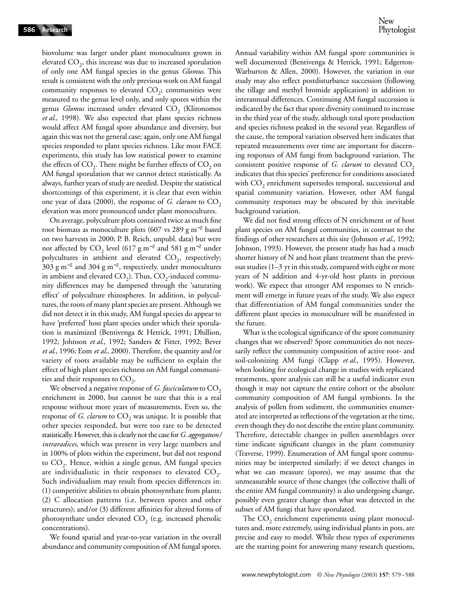biovolume was larger under plant monocultures grown in elevated  $CO<sub>2</sub>$ , this increase was due to increased sporulation of only one AM fungal species in the genus *Glomus*. This result is consistent with the only previous work on AM fungal community responses to elevated  $CO<sub>2</sub>$ ; communities were measured to the genus level only, and only spores within the genus *Glomus* increased under elevated CO<sub>2</sub> (Klironomos *et al*., 1998). We also expected that plant species richness would affect AM fungal spore abundance and diversity, but again this was not the general case; again, only one AM fungal species responded to plant species richness. Like most FACE experiments, this study has low statistical power to examine the effects of  $CO<sub>2</sub>$ . There might be further effects of  $CO<sub>2</sub>$  on AM fungal sporulation that we cannot detect statistically. As always, further years of study are needed. Despite the statistical shortcomings of this experiment, it is clear that even within one year of data (2000), the response of *G. clarum* to CO<sub>2</sub> elevation was more pronounced under plant monocultures.

On average, polyculture plots contained twice as much fine root biomass as monoculture plots (607 vs 289 g m<sup>−</sup><sup>2</sup> based on two harvests in 2000; P. B. Reich, unpubl. data) but were not affected by  $CO_2$  level (617 g m<sup>-2</sup> and 581 g m<sup>-2</sup> under polycultures in ambient and elevated  $CO<sub>2</sub>$ , respectively; 303 g m<sup>-2</sup> and 304 g m<sup>-2</sup>, respectively, under monocultures in ambient and elevated  $CO<sub>2</sub>$ ). Thus,  $CO<sub>2</sub>$ -induced community differences may be dampened through the 'saturating effect' of polyculture rhizospheres. In addition, in polycultures, the roots of many plant species are present. Although we did not detect it in this study, AM fungal species do appear to have 'preferred' host plant species under which their sporulation is maximized (Bentivenga & Hetrick, 1991; Dhillion, 1992; Johnson *et al*., 1992; Sanders & Fitter, 1992; Bever *et al*., 1996; Eom *et al*., 2000). Therefore, the quantity and/or variety of roots available may be sufficient to explain the effect of high plant species richness on AM fungal communities and their responses to  $CO<sub>2</sub>$ .

We observed a negative response of *G. fasciculatum* to CO<sub>2</sub> enrichment in 2000, but cannot be sure that this is a real response without more years of measurements. Even so, the response of *G. clarum* to  $CO_2$  was unique. It is possible that other species responded, but were too rare to be detected statistically. However, this is clearly not the case for *G. aggregatum/ intraradices*, which was present in very large numbers and in 100% of plots within the experiment, but did not respond to  $CO<sub>2</sub>$ . Hence, within a single genus, AM fungal species are individualistic in their responses to elevated  $CO<sub>2</sub>$ . Such individualism may result from species differences in: (1) competitive abilities to obtain photosynthate from plants; (2) C allocation patterns (i.e. between spores and other structures); and/or (3) different affinities for altered forms of photosynthate under elevated  $CO<sub>2</sub>$  (e.g. increased phenolic concentrations).

We found spatial and year-to-year variation in the overall abundance and community composition of AM fungal spores. Annual variability within AM fungal spore communities is well documented (Bentivenga & Hetrick, 1991; Edgerton-Warburton & Allen, 2000). However, the variation in our study may also reflect postdisturbance succession (following the tillage and methyl bromide application) in addition to interannual differences. Continuing AM fungal succession is indicated by the fact that spore diversity continued to increase in the third year of the study, although total spore production and species richness peaked in the second year. Regardless of the cause, the temporal variation observed here indicates that repeated measurements over time are important for discerning responses of AM fungi from background variation. The consistent positive response of *G. clarum* to elevated  $CO<sub>2</sub>$ indicates that this species' preference for conditions associated with  $CO<sub>2</sub>$  enrichment supersedes temporal, successional and spatial community variation. However, other AM fungal community responses may be obscured by this inevitable background variation.

We did not find strong effects of N enrichment or of host plant species on AM fungal communities, in contrast to the findings of other researchers at this site (Johnson *et al*., 1992; Johnson, 1993). However, the present study has had a much shorter history of N and host plant treatment than the previous studies (1–3 yr in this study, compared with eight or more years of N addition and 4-yr-old host plants in previous work). We expect that stronger AM responses to N enrichment will emerge in future years of the study. We also expect that differentiation of AM fungal communities under the different plant species in monoculture will be manifested in the future.

What is the ecological significance of the spore community changes that we observed? Spore communities do not necessarily reflect the community composition of active root- and soil-colonizing AM fungi (Clapp *et al*., 1995). However, when looking for ecological change in studies with replicated treatments, spore analysis can still be a useful indicator even though it may not capture the entire cohort or the absolute community composition of AM fungal symbionts. In the analysis of pollen from sediment, the communities enumerated are interpreted as reflections of the vegetation at the time, even though they do not describe the entire plant community. Therefore, detectable changes in pollen assemblages over time indicate significant changes in the plant community (Traverse, 1999). Enumeration of AM fungal spore communities may be interpreted similarly; if we detect changes in what we can measure (spores), we may assume that the unmeasurable source of these changes (the collective thalli of the entire AM fungal community) is also undergoing change, possibly even greater change than what was detected in the subset of AM fungi that have sporulated.

The  $CO<sub>2</sub>$  enrichment experiments using plant monocultures and, more extremely, using individual plants in pots, are precise and easy to model. While these types of experiments are the starting point for answering many research questions,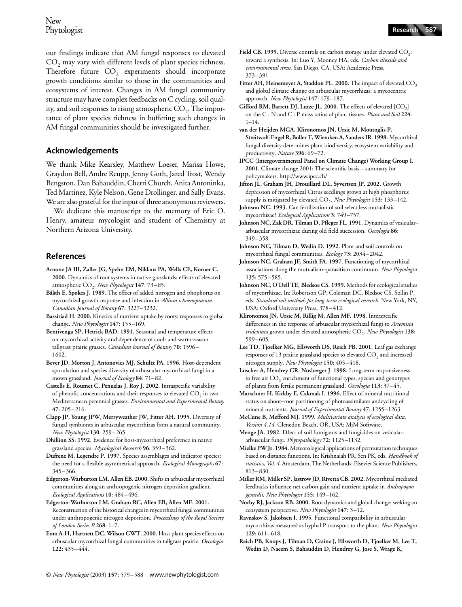our findings indicate that AM fungal responses to elevated  $CO<sub>2</sub>$  may vary with different levels of plant species richness. Therefore future  $CO<sub>2</sub>$  experiments should incorporate growth conditions similar to those in the communities and ecosystems of interest. Changes in AM fungal community structure may have complex feedbacks on C cycling, soil quality, and soil responses to rising atmospheric  $CO<sub>2</sub>$ . The importance of plant species richness in buffering such changes in AM fungal communities should be investigated further.

# **Acknowledgements**

We thank Mike Kearsley, Matthew Loeser, Marisa Howe, Graydon Bell, Andre Reupp, Jenny Goth, Jared Trost, Wendy Bengston, Dan Bahauddin, Cherri Church, Anita Antoninka, Ted Martinez, Kyle Nelson, Gene Drollinger, and Sally Evans. We are also grateful for the input of three anonymous reviewers.

We dedicate this manuscript to the memory of Eric O. Henry, amateur mycologist and student of Chemistry at Northern Arizona University.

# **References**

- **Arnone JA III, Zaller JG, Spehn EM, Niklaus PA, Wells CE, Korner C. 2000.** Dynamics of root systems in native grasslands: effects of elevated atmospheric CO<sub>2</sub>. New Phytologist 147: 73-85.
- **Bååth E, Spokes J. 1989.** The effect of added nitrogen and phophorus on mycorrhizal growth response and infection in *Allium schoenoprasum*. *Canadian Journal of Botany* **67**: 3227–3232.
- **Bassiriad H. 2000.** Kinetics of nutrient uptake by roots: responses to global change. *New Phytologist* **147**: 155–169.
- **Bentivenga SP, Hetrick BAD. 1991.** Seasonal and temperature effects on mycorrhizal activity and dependence of cool- and warm-season tallgrass prairie grasses. *Canadian Journal of Botany* **70**: 1596– 1602.
- **Bever JD, Morton J, Antonovics MJ, Schultz PA. 1996.** Host-dependent sporulation and species diversity of arbuscular mycorrhizal fungi in a mown grassland. *Journal of Ecology* **84**: 71–82.
- **Castells E, Roumet C, Penuelas J, Roy J. 2002.** Intraspecific variability of phenolic concentrations and their responses to elevated  $CO<sub>2</sub>$  in two Mediterranean perennial grasses. *Environmental and Experimental Botany* **47**: 205–216.
- **Clapp JP, Young JPW, Merryweather JW, Fitter AH. 1995.** Diversity of fungal symbionts in arbuscular mycorrhizas from a natural community. *New Phytologist* **130**: 259–265.
- **Dhillion SS. 1992.** Evidence for host-mycorrhizal preference in native grassland species. *Mycological Research* **96**: 359–362.
- **Dufrene M, Legendre P. 1997.** Species assemblages and indicator species: the need for a flexible asymmetrical approach. *Ecological Monographs* **67**: 345–366.
- **Edgerton-Warburton LM, Allen EB. 2000.** Shifts in arbuscular mycorrhizal communities along an anthropogenic nitrogen deposition gradient. *Ecological Applications* **10**: 484–496.
- **Edgerton-Warburton LM, Graham RC, Allen EB, Allen MF. 2001.**  Reconstruction of the historical changes in mycorrhizal fungal communities under anthropogenic nitrogen deposition. *Proceedings of the Royal Society of London Series B* **268**: 1–7.
- **Eom A-H, Hartnett DC, Wilson GWT. 2000.** Host plant species effects on arbuscular mycorrhizal fungal communities in tallgrass prairie. *Oecologia* **122**: 435–444.
- Field CB. 1999. Diverse controls on carbon storage under elevated CO<sub>2</sub>: toward a synthesis. In: Luo Y, Mooney HA, eds. *Carbon dioxide and environmental stress*. San Diego, CA, USA: Academic Press, 373–391.
- Fitter AH, Heinemeyer A, Staddon PL. 2000. The impact of elevated CO<sub>2</sub> and global climate change on arbuscular mycorrhizas: a mycocentric approach. *New Phytologist* **147**: 179–187.
- Gifford RM, Barrett DJ, Lutze JL. 2000. The effects of elevated [CO<sub>2</sub>] on the C : N and C : P mass ratios of plant tissues. *Plant and Soil* **224**:  $1 - 14$ .
- **van der Heijden MGA, Klironomos JN, Ursic M, Moutoglis P, Streitwolf-Engel R, Boller T, Wiemken A, Sanders IR. 1998.** Mycorrhizal fungal diversity determines plant biodiversity, ecosystem variability and productivity. *Nature* **396**: 69–72.
- **IPCC (Intergovernmental Panel on Climate Change) Working Group I. 2001.** Climat[e change 2001: The s](http://www.ipcc.ch/)cientific basis – summary for policymakers. http://www.ipcc.ch/
- **Jifton JL, Graham JH, Drouillard DL, Syvertsen JP. 2002.** Growth depression of mycorrhizal Citrus seedlings grown at high phosphorus supply is mitigated by elevated CO<sub>2</sub>. *New Phytologist* 153: 133-142.
- **Johnson NC. 1993.** Can fertilization of soil select less mutualistic mycorrhizae? *Ecological Applications* **3**: 749–757.
- **Johnson NC, Zak DR, Tilman D, Pfleger FL. 1991.** Dynamics of vesicular– arbuscular mycorrhizae during old field succession. *Oecologia* **86**: 349–358.
- **Johnson NC, Tilman D, Wedin D. 1992.** Plant and soil controls on mycorrhizal fungal communities. *Ecology* **73**: 2034–2042.
- **Johnson NC, Graham JF, Smith FA. 1997.** Functioning of mycorrhizal associations along the mutualism–parasitism continuum. *New Phytologist* **135**: 575–585.
- **Johnson NC, O'Dell TE, Bledsoe CS. 1999.** Methods for ecological studies of mycorrhizae. In: Robertson GP, Coleman DC, Bledsoe CS, Sollin P, eds. *Standard soil methods for long-term ecological research*. New York, NY, USA: Oxford University Press, 378–412.
- **Klironomos JN, Ursic M, Rillig M, Allen MF. 1998.** Interspecific differences in the response of arbuscular mycorrhizal fungi to *Artemisia tridentata* grown under elevated atmospheric CO<sub>2</sub>. *New Phytologist* 138: 599–605.
- Lee TD, Tjoelker MG, Ellsworth DS, Reich PB. 2001. Leaf gas exchange responses of 13 prairie grassland species to elevated  $CO<sub>2</sub>$  and increased nitrogen supply. *New Phytologist* **150**: 405–418.
- **Lüscher A, Hendrey GR, Nösberger J. 1998.** Long-term responsiveness to free air  $CO<sub>2</sub>$  enrichment of functional types, species and genotypes of plants from fertile permanent grassland. *Oecologia* **113**: 37–45.
- **Marschner H, Kirkby E, Cakmak I. 1996.** Effect of mineral nutritional status on shoot–root partitioning of photoassimilates andcycling of mineral nutrients. *Journal of Experimental Botany* **47**: 1255–1263.
- **McCune B, Mefford MJ. 1999.** *Multivariate analysis of ecological data*, *Version 4.14*. Glenedon Beach, OR, USA: MjM Software.
- **Menge JA. 1982.** Effect of soil fumigants and fungicides on vesiculararbuscular fungi. *Phytopathology* **72**: 1125–1132.
- **Mielke PW Jr**. **1984.** Meteorological applications of permutation techniques based on distance functions. In: Krishnaiah PR, Sen PK, eds. *Handbook of statistics*, *Vol. 4*. Amsterdam, The Netherlands: Elsevier Science Publishers, 813–830.
- **Miller RM, Miller SP, Jastrow JD, Rivetta CB. 2002.** Mycorrhizal mediated feedbacks influence net carbon gain and nutrient uptake in *Andropogon gerardii*. *New Phytologist* **155**: 149–162.
- **Norby RJ, Jackson RB. 2000.** Root dynamics and global change: seeking an ecosystem perspective. *New Phytologist* **147**: 3–12.
- **Ravnskov S, Jakobsen I. 1995.** Functional compatibility in arbuscular mycorrhizas measured as hyphal P transport to the plant. *New Phytologist* **129**: 611–618.
- **Reich PB, Knops J, Tilman D, Craine J, Ellsworth D, Tjoelker M, Lee T, Wedin D, Naeem S, Bahauddin D, Hendrey G, Jose S, Wrage K,**